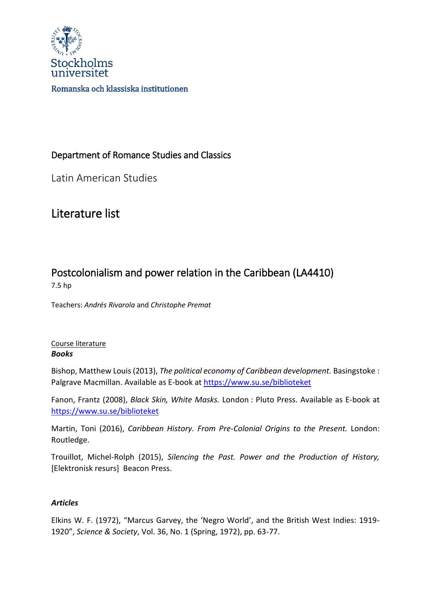

### Department of Romance Studies and Classics

Latin American Studies

## Literature list

# Postcolonialism and power relation in the Caribbean (LA4410)

7.5 hp

Teachers: *Andrés Rivarola* and *Christophe Premat*

#### Course literature *Books*

Bishop, Matthew Louis (2013), *The political economy of Caribbean development.* Basingstoke : Palgrave Macmillan. Available as E-book at<https://www.su.se/biblioteket>

Fanon, Frantz (2008), *Black Skin, White Masks.* London : Pluto Press. Available as E-book at <https://www.su.se/biblioteket>

Martin, Toni (2016), *Caribbean History. From Pre-Colonial Origins to the Present.* London: Routledge.

Trouillot, Michel-Rolph (2015), *Silencing the Past. Power and the Production of History,*  [Elektronisk resurs] Beacon Press.

#### *Articles*

Elkins W. F. (1972), "Marcus Garvey, the 'Negro World', and the British West Indies: 1919- 1920", *Science & Society*, Vol. 36, No. 1 (Spring, 1972), pp. 63-77.